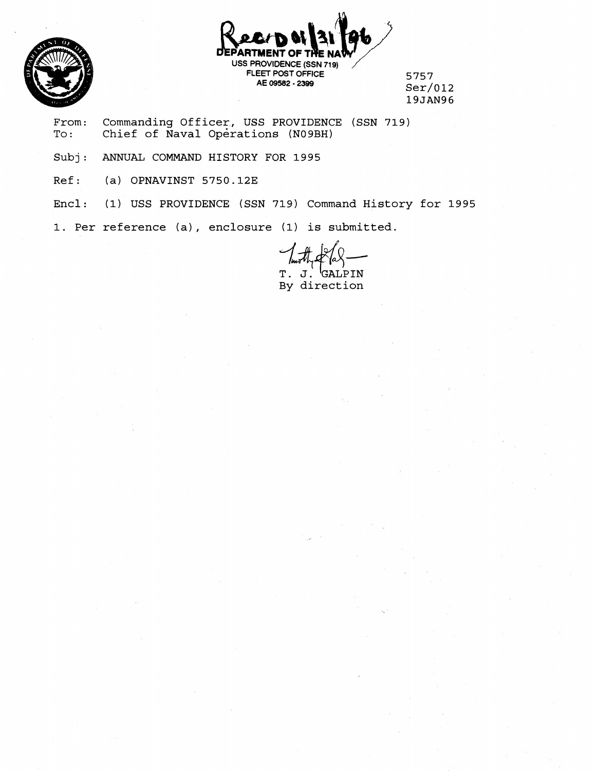

РАВТ **USS PROVIDENCE (SSN 719) FLEET POST OFFICE 5757 AE 09582** - **2399 ~er/0l2** 

**19JAN96** 

From: Commanding Officer, USS PROVIDENCE (SSN 719)<br>To: Chief of Naval Operations (N09BH) Chief of Naval Operations (N09BH)

**Subj: ANNUAL COMMAND HISTORY FOR 1995** 

**Ref: (a) OPNAVINST 5750.12E** 

**Encl: (1) USS PROVIDENCE (SSN 719) Command History for 1995** 

**1. Per reference (a)** , **enclosure (1) is submitted.** 

 $T. J.$ GALPIN **By direction**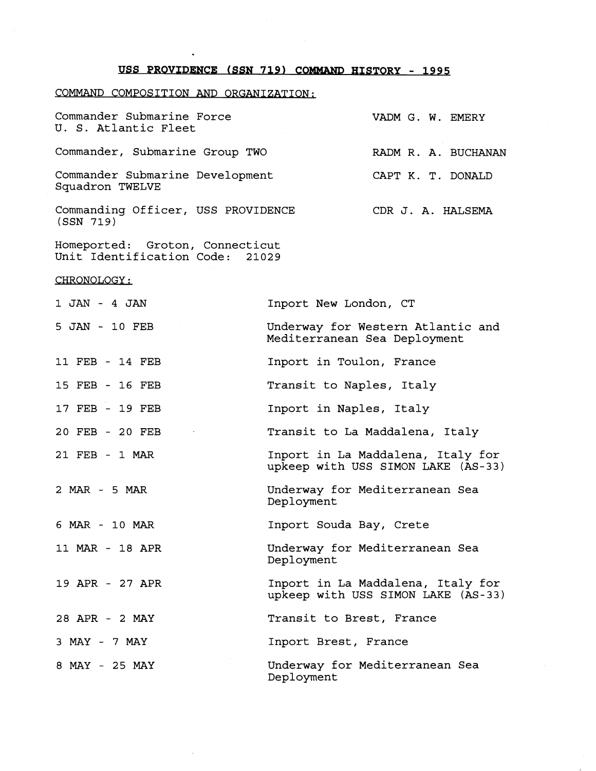## **USS PROVIDENCE (SSN 719) COMMAND HISTORY - 1995**

## COMMAND COMPOSITION AND ORGANIZATION:

| Commander Submarine Force<br>U. S. Atlantic Fleet                  | VADM G. W. EMERY             |                                   |  |  |  |  |
|--------------------------------------------------------------------|------------------------------|-----------------------------------|--|--|--|--|
| Commander, Submarine Group TWO                                     |                              | RADM R. A. BUCHANAN               |  |  |  |  |
| Commander Submarine Development<br>Squadron TWELVE                 |                              | CAPT K. T. DONALD                 |  |  |  |  |
| Commanding Officer, USS PROVIDENCE<br>(SSN 719)                    |                              | CDR J. A. HALSEMA                 |  |  |  |  |
| Homeported: Groton, Connecticut<br>Unit Identification Code: 21029 |                              |                                   |  |  |  |  |
| <u>CHRONOLOGY:</u>                                                 |                              |                                   |  |  |  |  |
| $1$ JAN - $4$ JAN                                                  | Inport New London, CT        |                                   |  |  |  |  |
| 5 JAN - 10 FEB                                                     | Mediterranean Sea Deployment | Underway for Western Atlantic and |  |  |  |  |
| 11 FEB - 14 FEB                                                    | Inport in Toulon, France     |                                   |  |  |  |  |
| 15 FEB - 16 FEB                                                    | Transit to Naples, Italy     |                                   |  |  |  |  |
| 17 FEB - 19 FEB                                                    | Inport in Naples, Italy      |                                   |  |  |  |  |

- 20 FEB 20 FEB Transit to La Maddalena, Italy
- 21 FEB 1 MAR Inport in La Maddalena, Italy for upkeep with USS SIMON LAKE (AS-33)
- 2 MAR 5 MAR Underway for Mediterranean Sea Deployment

6 MAR - 10 MAR Inport Souda Bay, Crete

- 11 MAR 18 APR Underway for Mediterranean Sea Deployment
- 19 APR 27 APR Inport in La Maddalena, Italy for upkeep with USS SIMON LAKE (AS-33)

28 APR - 2 MAY Transit to Brest, France

3 MAY - 7 MAY Inport Brest, France

8 MAY - 25 MAY

Underway for Mediterranean Sea Deployment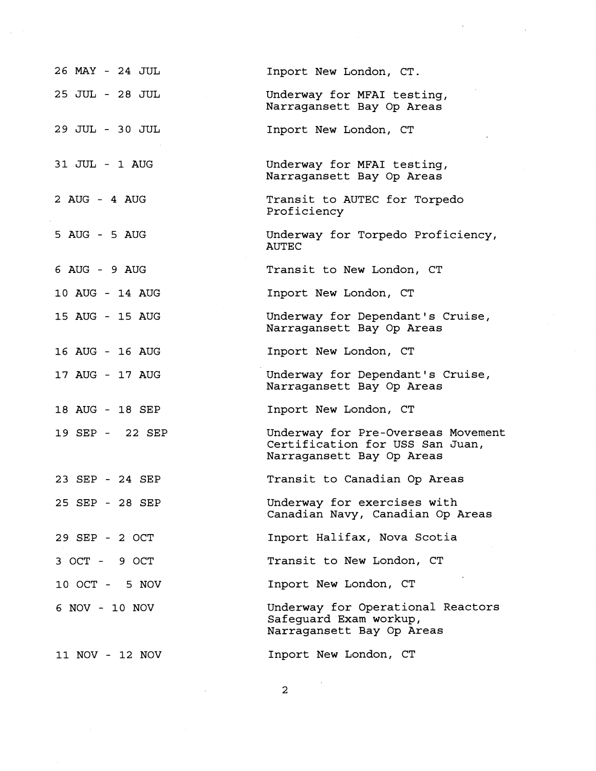| 26 MAY - 24 JUL | Inport New London, CT.                                                                             |
|-----------------|----------------------------------------------------------------------------------------------------|
| 25 JUL - 28 JUL | Underway for MFAI testing,<br>Narragansett Bay Op Areas                                            |
| 29 JUL - 30 JUL | Inport New London, CT                                                                              |
| 31 JUL - 1 AUG  | Underway for MFAI testing,<br>Narragansett Bay Op Areas                                            |
| 2 AUG - 4 AUG   | Transit to AUTEC for Torpedo<br>Proficiency                                                        |
| 5 AUG - 5 AUG   | Underway for Torpedo Proficiency,<br><b>AUTEC</b>                                                  |
| 6 AUG - 9 AUG   | Transit to New London, CT                                                                          |
| 10 AUG - 14 AUG | Inport New London, CT                                                                              |
| 15 AUG - 15 AUG | Underway for Dependant's Cruise,<br>Narragansett Bay Op Areas                                      |
| 16 AUG - 16 AUG | Inport New London, CT                                                                              |
| 17 AUG - 17 AUG | Underway for Dependant's Cruise,<br>Narragansett Bay Op Areas                                      |
| 18 AUG - 18 SEP | Inport New London, CT                                                                              |
| 19 SEP - 22 SEP | Underway for Pre-Overseas Movement<br>Certification for USS San Juan,<br>Narragansett Bay Op Areas |
| 23 SEP - 24 SEP | Transit to Canadian Op Areas                                                                       |
| 25 SEP - 28 SEP | Underway for exercises with<br>Canadian Navy, Canadian Op Areas                                    |
| 29 SEP - 2 OCT  | Inport Halifax, Nova Scotia                                                                        |
| 3 OCT - 9 OCT   | Transit to New London, CT                                                                          |
| 10 OCT - 5 NOV  | Inport New London, CT                                                                              |
| 6 NOV - 10 NOV  | Underway for Operational Reactors<br>Safequard Exam workup,<br>Narragansett Bay Op Areas           |
| 11 NOV - 12 NOV | Inport New London, CT                                                                              |

 $\mathcal{A}^{\text{max}}_{\text{max}}$ 

 $\overline{a}$